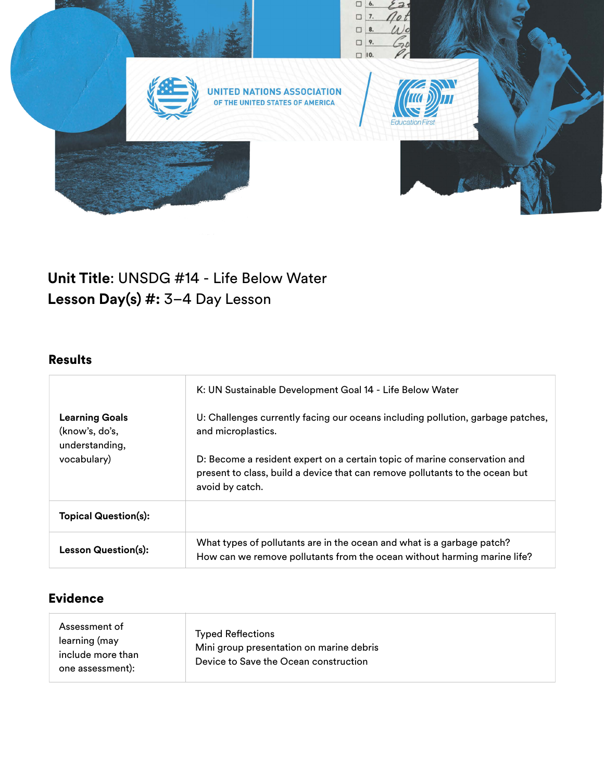

# **Unit Title**: UNSDG #14 - Life Below Water **Lesson Day(s) #:** 3–4 Day Lesson

# Results

| <b>Learning Goals</b><br>(know's, do's,<br>understanding,<br>vocabulary) | K: UN Sustainable Development Goal 14 - Life Below Water<br>U: Challenges currently facing our oceans including pollution, garbage patches,<br>and microplastics.            |
|--------------------------------------------------------------------------|------------------------------------------------------------------------------------------------------------------------------------------------------------------------------|
|                                                                          | D: Become a resident expert on a certain topic of marine conservation and<br>present to class, build a device that can remove pollutants to the ocean but<br>avoid by catch. |
| <b>Topical Question(s):</b>                                              |                                                                                                                                                                              |
| <b>Lesson Question(s):</b>                                               | What types of pollutants are in the ocean and what is a garbage patch?<br>How can we remove pollutants from the ocean without harming marine life?                           |

## Evidence

| Assessment of<br>learning (may<br>include more than<br>one assessment): | <b>Typed Reflections</b><br>Mini group presentation on marine debris<br>Device to Save the Ocean construction |
|-------------------------------------------------------------------------|---------------------------------------------------------------------------------------------------------------|
|-------------------------------------------------------------------------|---------------------------------------------------------------------------------------------------------------|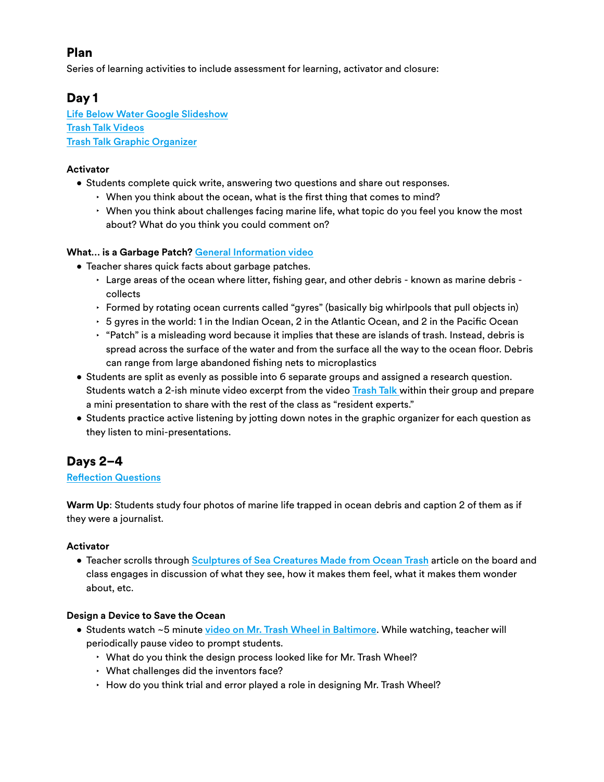## Plan

Series of learning activities to include assessment for learning, activator and closure:

### Day 1

[Life Below Water Google Slideshow](https://docs.google.com/presentation/d/11YcEpT-EIuXnTL5v4xVVTT7UxnP4gcNL_buczVAzayQ/edit?usp=sharing) [Trash Talk Videos](https://marinedebris.noaa.gov/discover-issue/trash-talk) [Trash Talk Graphic Organizer](https://docs.google.com/presentation/d/11IbeyPBLKhpixnqc50pt6zUc6jDuLY-EjbxFl5MSG4w/edit?usp=sharing)

### **Activator**

- Students complete quick write, answering two questions and share out responses.
	- $\cdot$  When you think about the ocean, what is the first thing that comes to mind?
	- ‣ When you think about challenges facing marine life, what topic do you feel you know the most about? What do you think you could comment on?

### **What… is a Garbage Patch?** [General Information video](https://www.youtube.com/watch?v=MnCbTTTi7ic)

- Teacher shares quick facts about garbage patches.
	- $\cdot$  Large areas of the ocean where litter, fishing gear, and other debris known as marine debris collects
	- ‣ Formed by rotating ocean currents called "gyres" (basically big whirlpools that pull objects in)
	- $\cdot$  5 gyres in the world: 1 in the Indian Ocean, 2 in the Atlantic Ocean, and 2 in the Pacific Ocean
	- ‣ "Patch" is a misleading word because it implies that these are islands of trash. Instead, debris is spread across the surface of the water and from the surface all the way to the ocean floor. Debris can range from large abandoned fishing nets to microplastics
- Students are split as evenly as possible into 6 separate groups and assigned a research question. Students watch a 2-ish minute video excerpt from the video [Trash Talk](https://marinedebris.noaa.gov/discover-issue/trash-talk) within their group and prepare a mini presentation to share with the rest of the class as "resident experts."
- Students practice active listening by jotting down notes in the graphic organizer for each question as they listen to mini-presentations.

# Days 2–4

### Refl[ection Questions](https://docs.google.com/document/d/1Pw68PWmmomwOliukjEkdx5Bzr_4v3IOhpFAvmQgpYBw/edit?usp=sharing)

**Warm Up**: Students study four photos of marine life trapped in ocean debris and caption 2 of them as if they were a journalist.

### **Activator**

• Teacher scrolls through [Sculptures of Sea Creatures Made from Ocean Trash](https://news.wttw.com/2017/09/21/photos-shedd-debuts-giant-sea-life-sculptures-made-ocean-trash) article on the board and class engages in discussion of what they see, how it makes them feel, what it makes them wonder about, etc.

### **Design a Device to Save the Ocean**

- Students watch ~5 minute [video on Mr. Trash Wheel in Baltimore](https://www.youtube.com/watch?v=RkQbcrzyAeE&t=1s&ab_channel=NBCNews). While watching, teacher will periodically pause video to prompt students.
	- ‣ What do you think the design process looked like for Mr. Trash Wheel?
	- ‣ What challenges did the inventors face?
	- ‣ How do you think trial and error played a role in designing Mr. Trash Wheel?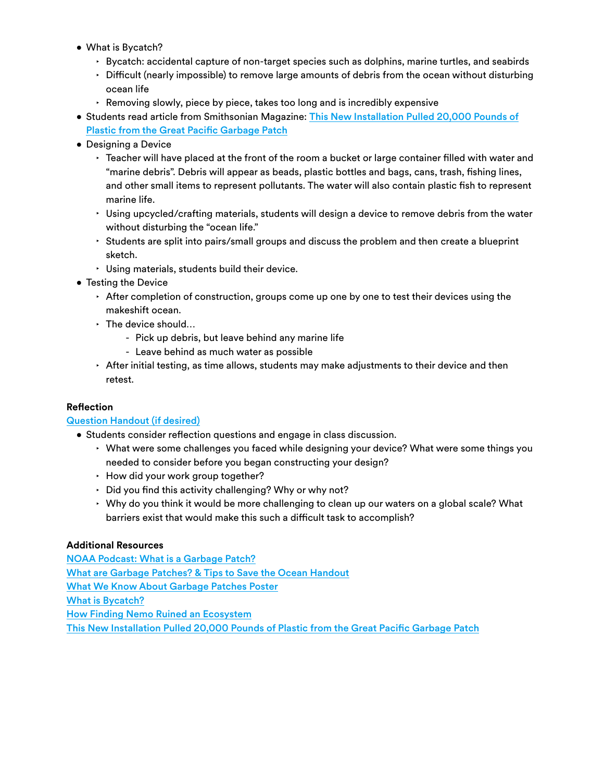- What is Bycatch?
	- $\cdot$  Bycatch: accidental capture of non-target species such as dolphins, marine turtles, and seabirds
	- ‣ Difficult (nearly impossible) to remove large amounts of debris from the ocean without disturbing ocean life
	- ‣ Removing slowly, piece by piece, takes too long and is incredibly expensive
- Students read article from Smithsonian Magazine: [This New Installation Pulled](https://www.smithsonianmag.com/smart-news/this-new-installation-just-pulled-20000-pounds-of-plastic-from-the-great-pacific-garbage-patch-180978895/) [20,000 Pounds of](https://www.smithsonianmag.com/smart-news/this-new-installation-just-pulled-20000-pounds-of-plastic-from-the-great-pacific-garbage-patch-180978895/)  [Plastic from the Great Paci](https://www.smithsonianmag.com/smart-news/this-new-installation-just-pulled-20000-pounds-of-plastic-from-the-great-pacific-garbage-patch-180978895/)fic Garbage Patch
- Designing a Device
	- $\cdot$  Teacher will have placed at the front of the room a bucket or large container filled with water and "marine debris". Debris will appear as beads, plastic bottles and bags, cans, trash, fishing lines, and other small items to represent pollutants. The water will also contain plastic fish to represent marine life.
	- $\cdot$  Using upcycled/crafting materials, students will design a device to remove debris from the water without disturbing the "ocean life."
	- $\cdot$  Students are split into pairs/small groups and discuss the problem and then create a blueprint sketch.
	- ‣ Using materials, students build their device.
- Testing the Device
	- $\cdot$  After completion of construction, groups come up one by one to test their devices using the makeshift ocean.
	- ‣ The device should…
		- Pick up debris, but leave behind any marine life
		- Leave behind as much water as possible
	- $\cdot$  After initial testing, as time allows, students may make adjustments to their device and then retest.

#### **Reflection**

### [Question Handout \(if desired\)](https://docs.google.com/document/d/1Pw68PWmmomwOliukjEkdx5Bzr_4v3IOhpFAvmQgpYBw/edit?usp=sharing)

- Students consider reflection questions and engage in class discussion.
	- $\cdot$  What were some challenges you faced while designing your device? What were some things you needed to consider before you began constructing your design?
	- ‣ How did your work group together?
	- $\cdot$  Did you find this activity challenging? Why or why not?
	- ‣ Why do you think it would be more challenging to clean up our waters on a global scale? What barriers exist that would make this such a difficult task to accomplish?

#### **Additional Resources**

[NOAA Podcast: What is a Garbage Patch?](https://oceanservice.noaa.gov/podcast/june14/mw126-garbagepatch.html) [What are Garbage Patches? & Tips to Save the Ocean Handout](https://drive.google.com/file/d/1jnj3tE7QFX4COhWugGY6Uvw85FqFH8G7/view?usp=sharing) [What We Know About Garbage Patches Poster](https://drive.google.com/file/d/1k6DG49E01PnJBytHKKTozg9UHye-MpUR/view?usp=sharing) [What is Bycatch?](https://www.worldwildlife.org/threats/bycatch) [How Finding Nemo Ruined an Ecosystem](https://www.fix.com/blog/the-environmental-impact-of-finding-nemo-and-finding-dory/) [This New Installation Pulled 20,000 Pounds of Plastic from the Great Paci](https://www.smithsonianmag.com/smart-news/this-new-installation-just-pulled-20000-pounds-of-plastic-from-the-great-pacific-garbage-patch-180978895/)fic Garbage Patch